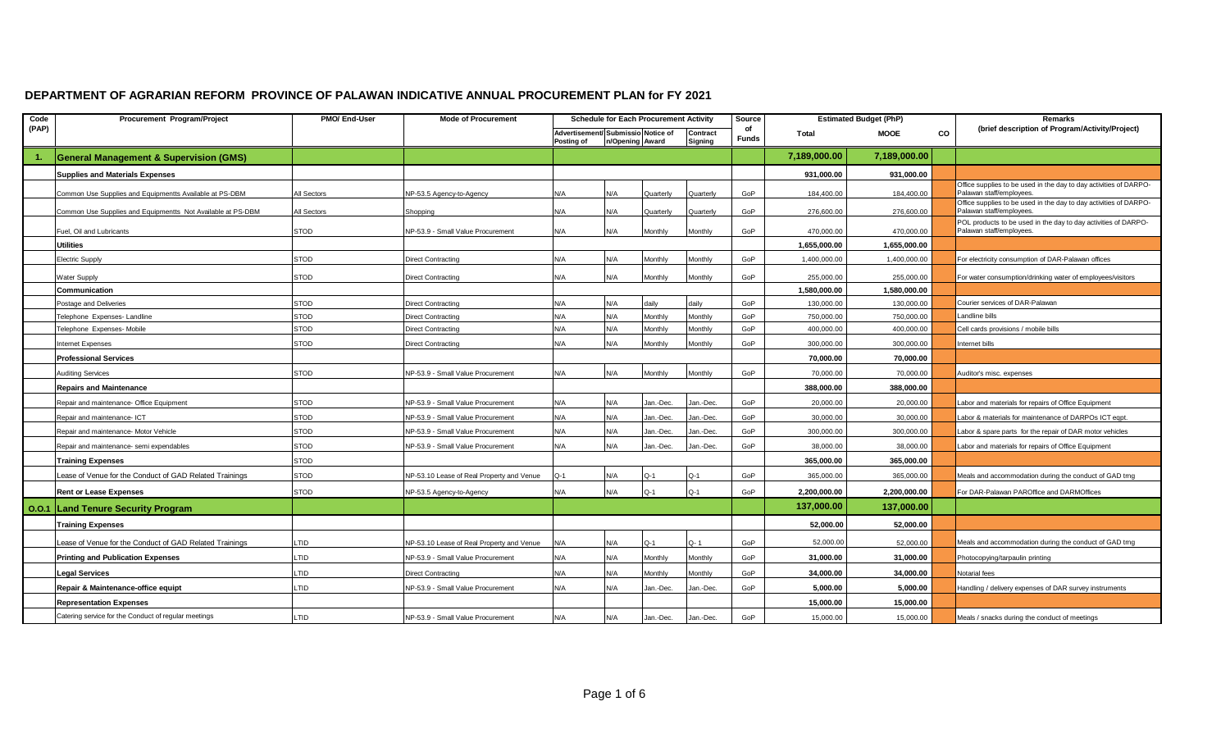## **DEPARTMENT OF AGRARIAN REFORM PROVINCE OF PALAWAN INDICATIVE ANNUAL PROCUREMENT PLAN for FY 2021**

| Code  | Procurement Program/Project                                 | PMO/ End-User   | <b>Mode of Procurement</b>                | <b>Schedule for Each Procurement Activity</b>    |     | Source          |                     | <b>Estimated Budget (PhP)</b> | Remarks      |              |                                      |                                                                   |
|-------|-------------------------------------------------------------|-----------------|-------------------------------------------|--------------------------------------------------|-----|-----------------|---------------------|-------------------------------|--------------|--------------|--------------------------------------|-------------------------------------------------------------------|
| (PAP) |                                                             |                 |                                           | Advertisement/ Submissio Notice of<br>Posting of |     | n/Opening Award | Contract<br>Signing | of<br><b>Funds</b>            | Total        | <b>MOOE</b>  | CO                                   | (brief description of Program/Activity/Project)                   |
|       | <b>General Management &amp; Supervision (GMS)</b>           |                 |                                           |                                                  |     |                 |                     |                               | 7,189,000.00 | 7,189,000.00 |                                      |                                                                   |
|       | <b>Supplies and Materials Expenses</b>                      |                 |                                           |                                                  |     |                 |                     |                               | 931.000.00   | 931.000.00   |                                      |                                                                   |
|       | Common Use Supplies and Equipmentts Available at PS-DBM     | All Sectors     | NP-53.5 Agency-to-Agency                  | N/A                                              | N/A | Quarterly       | Quarterly           | GoP                           | 184,400.00   | 184,400.00   | Palawan staff/employees              | Office supplies to be used in the day to day activities of DARPO- |
|       | Common Use Supplies and Equipmentts Not Available at PS-DBM | All Sectors     | Shopping                                  | N/A                                              | N/A | Quarterly       | Quarterly           | GoP                           | 276,600.00   | 276,600.00   | Palawan staff/employees.             | Office supplies to be used in the day to day activities of DARPO- |
|       | Fuel, Oil and Lubricants                                    | STOD            | NP-53.9 - Small Value Procurement         | N/A                                              | N/A | Monthly         | Monthly             | GoP                           | 470,000.00   | 470,000.00   | Palawan staff/employees.             | POL products to be used in the day to day activities of DARPO-    |
|       | <b>Utilities</b>                                            |                 |                                           |                                                  |     |                 |                     |                               | 1,655,000.00 | 1,655,000.00 |                                      |                                                                   |
|       | Electric Supply                                             | STOD            | <b>Direct Contracting</b>                 | N/A                                              | N/A | Monthly         | Monthly             | GoP                           | 1,400,000.00 | 1,400,000.00 |                                      | For electricity consumption of DAR-Palawan offices                |
|       | <b>Nater Supply</b>                                         | <b>STOD</b>     | <b>Direct Contracting</b>                 | N/A                                              | N/A | Monthly         | Monthly             | GoP                           | 255,000.00   | 255,000.00   |                                      | For water consumption/drinking water of employees/visitors        |
|       | Communication                                               |                 |                                           |                                                  |     |                 |                     |                               | 1,580,000.00 | 1,580,000.00 |                                      |                                                                   |
|       | Postage and Deliveries                                      | <b>STOD</b>     | <b>Direct Contracting</b>                 | N/A                                              | N/A | daily           | daily               | GoP                           | 130,000.00   | 130,000.00   | Courier services of DAR-Palawan      |                                                                   |
|       | Telephone Expenses-Landline                                 | <b>STOD</b>     | Direct Contracting                        | N/A                                              | N/A | Monthly         | Monthly             | GoP                           | 750,000.00   | 750,000.00   | andline bills.                       |                                                                   |
|       | <b>Telephone Expenses-Mobile</b>                            | <b>STOD</b>     | Direct Contracting                        | N/A                                              | N/A | Monthly         | Monthly             | GoP                           | 400,000.00   | 400,000.00   | Cell cards provisions / mobile bills |                                                                   |
|       | nternet Expenses                                            | <b>STOD</b>     | Direct Contracting                        | N/A                                              | N/A | Monthly         | Monthly             | GoP                           | 300,000.00   | 300,000.00   | nternet bills                        |                                                                   |
|       | <b>Professional Services</b>                                |                 |                                           |                                                  |     |                 |                     |                               | 70,000.00    | 70,000.00    |                                      |                                                                   |
|       | <b>Auditing Services</b>                                    | <b>STOD</b>     | NP-53.9 - Small Value Procurement         | N/A                                              | N/A | Monthly         | Monthly             | GoP                           | 70,000.00    | 70,000.00    | Auditor's misc. expenses             |                                                                   |
|       | <b>Repairs and Maintenance</b>                              |                 |                                           |                                                  |     |                 |                     |                               | 388,000.00   | 388,000.00   |                                      |                                                                   |
|       | Repair and maintenance- Office Equipment                    | STOD            | NP-53.9 - Small Value Procurement         | N/A                                              | N/A | Jan.-Dec.       | Jan.-Dec.           | GoP                           | 20,000.00    | 20,000.00    |                                      | abor and materials for repairs of Office Equipment                |
|       | Repair and maintenance- ICT                                 | <b>STOD</b>     | NP-53.9 - Small Value Procurement         | N/A                                              | N/A | Jan.-Dec        | lan.-Dec            | GoP                           | 30,000.00    | 30,000.00    |                                      | abor & materials for maintenance of DARPOs ICT eqpt.              |
|       | Repair and maintenance- Motor Vehicle                       | <b>STOD</b>     | NP-53.9 - Small Value Procurement         | N/A                                              | N/A | Jan.-Dec.       | an.-Dec             | GoP                           | 300,000.00   | 300,000,00   |                                      | abor & spare parts for the repair of DAR motor vehicles           |
|       | Repair and maintenance- semi expendables                    | STOD            | NP-53.9 - Small Value Procurement         | N/A                                              | N/A | Jan.-Dec.       | Jan.-Dec            | GoP                           | 38,000.00    | 38,000.00    |                                      | abor and materials for repairs of Office Equipment                |
|       | <b>Training Expenses</b>                                    | STOD            |                                           |                                                  |     |                 |                     |                               | 365,000.00   | 365,000.00   |                                      |                                                                   |
|       | Lease of Venue for the Conduct of GAD Related Trainings     | <b>STOD</b>     | NP-53.10 Lease of Real Property and Venue | $Q-1$                                            | N/A | Q-1             | $Q-1$               | GoP                           | 365,000.00   | 365,000.00   |                                      | Meals and accommodation during the conduct of GAD trng            |
|       | <b>Rent or Lease Expenses</b>                               | <b>STOD</b>     | NP-53.5 Agency-to-Agency                  | N/A                                              | N/A | $Q-1$           | $Q-1$               | GoP                           | 2,200,000.00 | 2,200,000.00 |                                      | For DAR-Palawan PAROffice and DARMOffices                         |
| 0.0.1 | <b>Land Tenure Security Program</b>                         |                 |                                           |                                                  |     |                 |                     |                               | 137,000.00   | 137,000.00   |                                      |                                                                   |
|       | <b>Training Expenses</b>                                    |                 |                                           |                                                  |     |                 |                     |                               | 52,000.00    | 52,000.00    |                                      |                                                                   |
|       | Lease of Venue for the Conduct of GAD Related Trainings     | LTID            | NP-53.10 Lease of Real Property and Venue | N/A                                              | N/A | Q-1             | $Q - 1$             | GoP                           | 52,000.00    | 52,000.00    |                                      | Meals and accommodation during the conduct of GAD trng            |
|       | <b>Printing and Publication Expenses</b>                    | LTID            | NP-53.9 - Small Value Procurement         | N/A                                              | N/A | Monthly         | Monthly             | GoP                           | 31,000.00    | 31,000.00    | Photocopying/tarpaulin printing      |                                                                   |
|       | <b>Legal Services</b>                                       | TID <sub></sub> | <b>Direct Contracting</b>                 | N/A                                              | N/A | Monthly         | Monthly             | GoP                           | 34,000.00    | 34,000.00    | Notarial fees                        |                                                                   |
|       | Repair & Maintenance-office equipt                          | LTID            | NP-53.9 - Small Value Procurement         | N/A                                              | N/A | Jan.-Dec.       | lan.-Dec            | GoP                           | 5,000.00     | 5,000.00     |                                      | Handling / delivery expenses of DAR survey instruments            |
|       | <b>Representation Expenses</b>                              |                 |                                           |                                                  |     |                 |                     |                               | 15,000.00    | 15.000.00    |                                      |                                                                   |
|       | Catering service for the Conduct of regular meetings        | LTID            | NP-53.9 - Small Value Procurement         | N/A                                              | N/A | Jan.-Dec.       | Jan.-Dec.           | GoP                           | 15,000.00    | 15,000.00    |                                      | Meals / snacks during the conduct of meetings                     |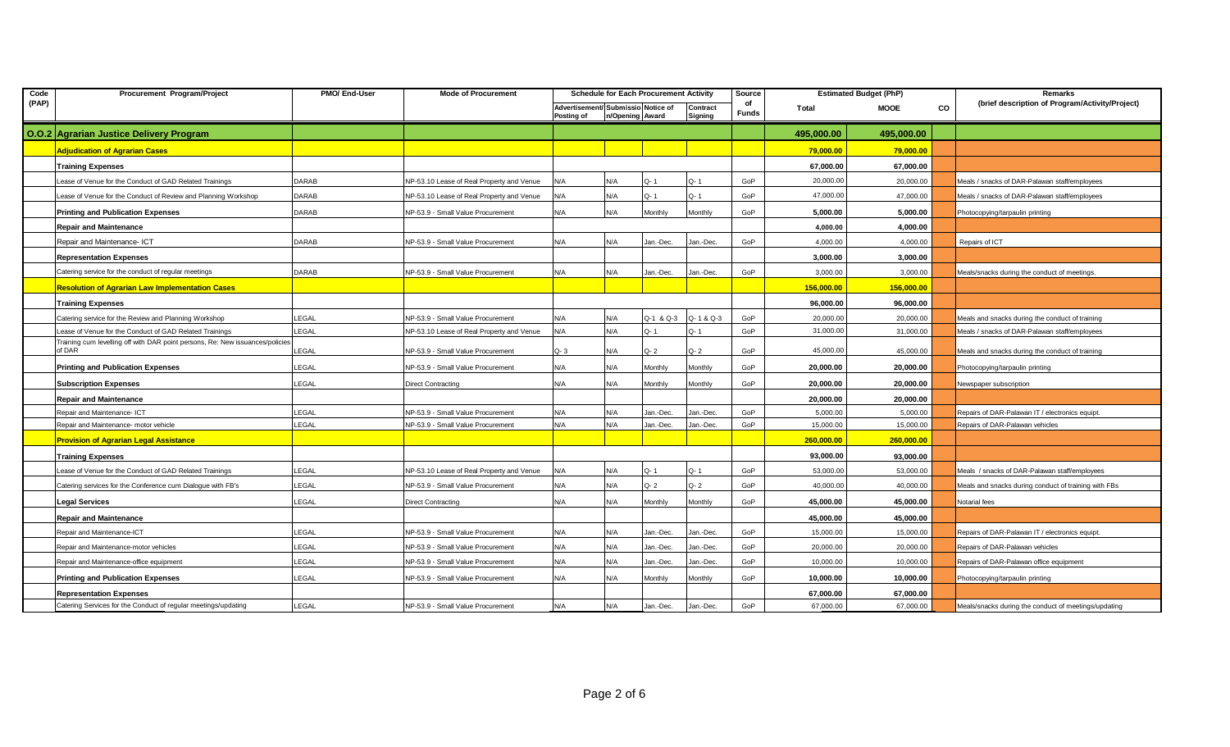| Code  | Procurement Program/Project                                                             | PMO/ End-User | <b>Mode of Procurement</b>                |                                                  |     | <b>Schedule for Each Procurement Activity</b> |                     | Source             | <b>Estimated Budget (PhP)</b> |            | Remarks   |                                                      |  |
|-------|-----------------------------------------------------------------------------------------|---------------|-------------------------------------------|--------------------------------------------------|-----|-----------------------------------------------|---------------------|--------------------|-------------------------------|------------|-----------|------------------------------------------------------|--|
| (PAP) |                                                                                         |               |                                           | Advertisement/ Submissio Notice of<br>Posting of |     | n/Opening Award                               | Contract<br>Signing | of<br><b>Funds</b> | Total                         | MOOE       | <b>CO</b> | (brief description of Program/Activity/Project)      |  |
|       | O.O.2 Agrarian Justice Delivery Program                                                 |               |                                           |                                                  |     |                                               |                     |                    | 495,000.00                    | 495,000.00 |           |                                                      |  |
|       | <b>Adjudication of Agrarian Cases</b>                                                   |               |                                           |                                                  |     |                                               |                     |                    | 79,000.00                     | 79,000.00  |           |                                                      |  |
|       | <b>Training Expenses</b>                                                                |               |                                           |                                                  |     |                                               |                     |                    | 67,000.00                     | 67,000.00  |           |                                                      |  |
|       | Lease of Venue for the Conduct of GAD Related Trainings                                 | DARAB         | NP-53.10 Lease of Real Property and Venue | N/A                                              | N/A | $Q - 1$                                       | $Q - 1$             | GoP                | 20,000.00                     | 20,000.00  |           | Meals / snacks of DAR-Palawan staff/employees        |  |
|       | ease of Venue for the Conduct of Review and Planning Workshop                           | DARAB         | NP-53.10 Lease of Real Property and Venue | N/A                                              | N/A | $Q - 1$                                       | $Q - 1$             | GoP                | 47,000.00                     | 47,000.00  |           | Meals / snacks of DAR-Palawan staff/employees        |  |
|       | <b>Printing and Publication Expenses</b>                                                | DARAB         | NP-53.9 - Small Value Procurement         | N/A                                              | N/A | Monthly                                       | Monthly             | GoP                | 5,000.00                      | 5,000.00   |           | Photocopying/tarpaulin printing                      |  |
|       | <b>Repair and Maintenance</b>                                                           |               |                                           |                                                  |     |                                               |                     |                    | 4.000.00                      | 4,000.00   |           |                                                      |  |
|       | Repair and Maintenance- ICT                                                             | DARAB         | NP-53.9 - Small Value Procurement         | N/A                                              | N/A | Jan.-Dec.                                     | Jan.-Dec.           | GoP                | 4,000.00                      | 4,000.00   |           | Repairs of ICT                                       |  |
|       | <b>Representation Expenses</b>                                                          |               |                                           |                                                  |     |                                               |                     |                    | 3.000.00                      | 3,000.00   |           |                                                      |  |
|       | Catering service for the conduct of regular meetings                                    | DARAB         | NP-53.9 - Small Value Procurement         | N/A                                              | N/A | Jan.-Dec.                                     | Jan.-Dec.           | GoP                | 3,000.00                      | 3,000.00   |           | Meals/snacks during the conduct of meetings.         |  |
|       | <b>Resolution of Agrarian Law Implementation Cases</b>                                  |               |                                           |                                                  |     |                                               |                     |                    | 156,000.00                    | 156,000.00 |           |                                                      |  |
|       | <b>Training Expenses</b>                                                                |               |                                           |                                                  |     |                                               |                     |                    | 96,000.00                     | 96,000.00  |           |                                                      |  |
|       | Catering service for the Review and Planning Workshop                                   | LEGAL         | NP-53.9 - Small Value Procurement         | N/A                                              | N/A | Q-1 & Q-3                                     | Q-1&Q-3             | GoP                | 20,000.00                     | 20,000.00  |           | Meals and snacks during the conduct of training      |  |
|       | ease of Venue for the Conduct of GAD Related Trainings                                  | LEGAL         | NP-53.10 Lease of Real Property and Venue | N/A                                              | N/A | Q-1                                           | Q-1                 | GoP                | 31,000.00                     | 31,000.00  |           | Meals / snacks of DAR-Palawan staff/employees        |  |
|       | Training cum levelling off with DAR point persons, Re: New issuances/policies<br>of DAR | LEGAL         | NP-53.9 - Small Value Procurement         | Q- 3                                             | N/A | $Q - 2$                                       | $Q - 2$             | GoP                | 45,000.00                     | 45,000.00  |           | Meals and snacks during the conduct of training      |  |
|       | <b>Printing and Publication Expenses</b>                                                | LEGAL         | NP-53.9 - Small Value Procurement         | N/A                                              | N/A | Monthly                                       | Monthly             | GoP                | 20,000.00                     | 20,000.00  |           | Photocopying/tarpaulin printing                      |  |
|       | <b>Subscription Expenses</b>                                                            | LEGAL         | Direct Contracting                        | N/A                                              | N/A | Monthly                                       | Monthly             | GoP                | 20,000.00                     | 20,000.00  |           | Newspaper subscription                               |  |
|       | <b>Repair and Maintenance</b>                                                           |               |                                           |                                                  |     |                                               |                     |                    | 20,000.00                     | 20,000.00  |           |                                                      |  |
|       | Repair and Maintenance- ICT                                                             | LEGAL         | NP-53.9 - Small Value Procurement         | N/A                                              | N/A | Jan.-Dec.                                     | Jan.-Dec.           | GoP                | 5,000.00                      | 5,000.00   |           | Repairs of DAR-Palawan IT / electronics equipt.      |  |
|       | Repair and Maintenance- motor vehicle                                                   | LEGAL         | NP-53.9 - Small Value Procurement         | N/A                                              | N/A | Jan.-Dec.                                     | Jan.-Dec.           | GoP                | 15,000.00                     | 15,000.00  |           | Repairs of DAR-Palawan vehicles                      |  |
|       | <b>Provision of Agrarian Legal Assistance</b>                                           |               |                                           |                                                  |     |                                               |                     |                    | 260,000.00                    | 260,000.00 |           |                                                      |  |
|       | <b>Training Expenses</b>                                                                |               |                                           |                                                  |     |                                               |                     |                    | 93,000.00                     | 93,000.00  |           |                                                      |  |
|       | Lease of Venue for the Conduct of GAD Related Trainings                                 | LEGAL         | NP-53.10 Lease of Real Property and Venue | N/A                                              | N/A | Q-1                                           | Q-1                 | GoP                | 53,000.00                     | 53,000.00  |           | Meals / snacks of DAR-Palawan staff/employees        |  |
|       | Catering services for the Conference cum Dialogue with FB's                             | LEGAL         | NP-53.9 - Small Value Procurement         | N/A                                              | N/A | $Q - 2$                                       | $Q - 2$             | GoP                | 40,000.00                     | 40,000.00  |           | Meals and snacks during conduct of training with FBs |  |
|       | <b>Legal Services</b>                                                                   | LEGAL         | <b>Direct Contracting</b>                 | N/A                                              | N/A | Monthly                                       | Monthly             | GoP                | 45.000.00                     | 45,000.00  |           | Notarial fees                                        |  |
|       | <b>Repair and Maintenance</b>                                                           |               |                                           |                                                  |     |                                               |                     |                    | 45,000.00                     | 45,000.00  |           |                                                      |  |
|       | Repair and Maintenance-ICT                                                              | LEGAL         | NP-53.9 - Small Value Procurement         | N/A                                              | N/A | Jan.-Dec.                                     | Jan.-Dec.           | GoP                | 15,000.00                     | 15,000.00  |           | Repairs of DAR-Palawan IT / electronics equipt.      |  |
|       | Repair and Maintenance-motor vehicles                                                   | LEGAL         | NP-53.9 - Small Value Procurement         | N/A                                              | N/A | Jan.-Dec.                                     | Jan.-Dec.           | GoP                | 20,000.00                     | 20,000.00  |           | Repairs of DAR-Palawan vehicles                      |  |
|       | Repair and Maintenance-office equipment                                                 | LEGAL         | NP-53.9 - Small Value Procurement         | N/A                                              | N/A | Jan.-Dec.                                     | Jan.-Dec.           | GoP                | 10,000.00                     | 10,000.00  |           | Repairs of DAR-Palawan office equipment              |  |
|       | <b>Printing and Publication Expenses</b>                                                | LEGAL         | NP-53.9 - Small Value Procurement         | N/A                                              | N/A | Monthly                                       | Monthly             | GoP                | 10,000.00                     | 10,000.00  |           | Photocopying/tarpaulin printing                      |  |
|       | <b>Representation Expenses</b>                                                          |               |                                           |                                                  |     |                                               |                     |                    | 67,000.00                     | 67,000.00  |           |                                                      |  |
|       | Catering Services for the Conduct of regular meetings/updating                          | LEGAL         | NP-53.9 - Small Value Procurement         | N/A                                              | N/A | Jan.-Dec.                                     | Jan.-Dec.           | GoP                | 67,000.00                     | 67,000.00  |           | Meals/snacks during the conduct of meetings/updating |  |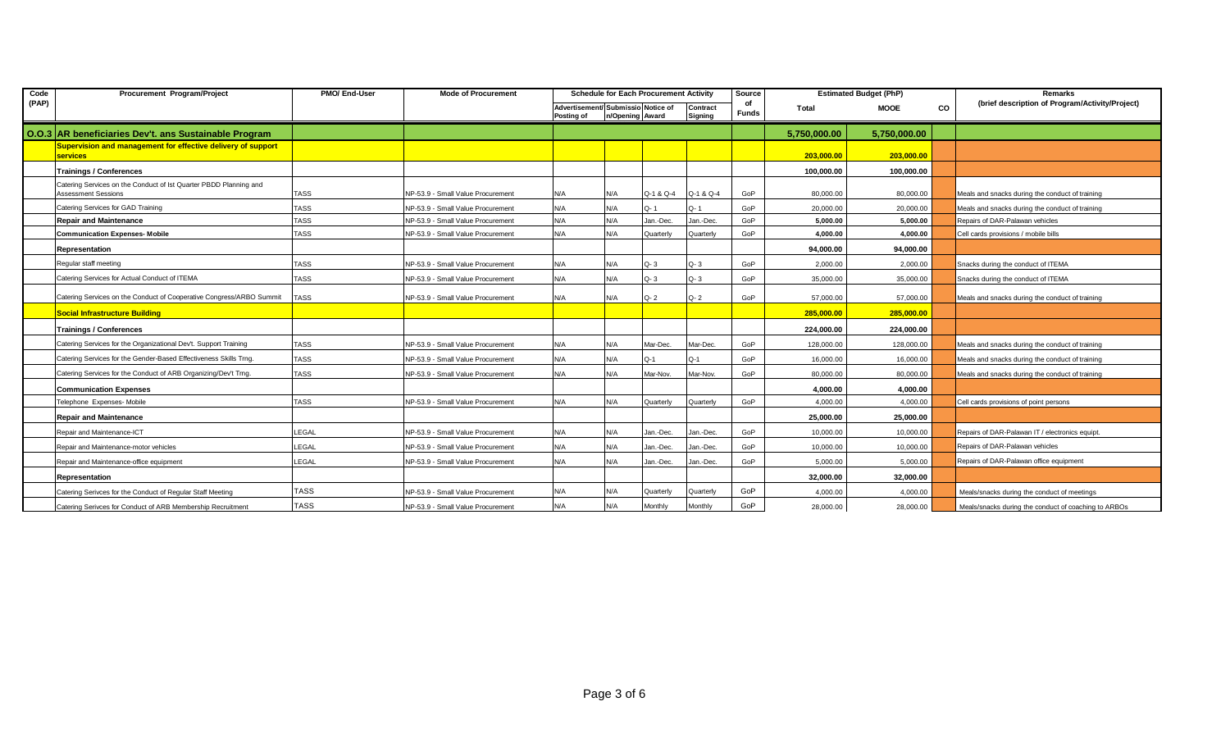| Code  | Procurement Program/Project                                                                     | PMO/ End-User | <b>Mode of Procurement</b>        |                                                  | <b>Schedule for Each Procurement Activity</b> |                 | Source              |                    | <b>Estimated Budget (PhP)</b> |              | Remarks |                                                      |
|-------|-------------------------------------------------------------------------------------------------|---------------|-----------------------------------|--------------------------------------------------|-----------------------------------------------|-----------------|---------------------|--------------------|-------------------------------|--------------|---------|------------------------------------------------------|
| (PAP) |                                                                                                 |               |                                   | Advertisement/ Submissio Notice of<br>Posting of |                                               | n/Opening Award | Contract<br>Signing | of<br><b>Funds</b> | <b>MOOE</b><br>Total          |              | CO      | (brief description of Program/Activity/Project)      |
|       | 0.0.3 AR beneficiaries Dev't. ans Sustainable Program                                           |               |                                   |                                                  |                                               |                 |                     |                    | 5,750,000.00                  | 5,750,000.00 |         |                                                      |
|       | Supervision and management for effective delivery of support<br><b>services</b>                 |               |                                   |                                                  |                                               |                 |                     |                    | 203,000.00                    | 203,000.00   |         |                                                      |
|       | <b>Trainings / Conferences</b>                                                                  |               |                                   |                                                  |                                               |                 |                     |                    | 100,000.00                    | 100,000.00   |         |                                                      |
|       | Catering Services on the Conduct of Ist Quarter PBDD Planning and<br><b>Assessment Sessions</b> | <b>TASS</b>   | NP-53.9 - Small Value Procurement | N/A                                              | N/A                                           | Q-1 & Q-4       | Q-1 & Q-4           | GoP                | 80,000.00                     | 80,000.00    |         | Meals and snacks during the conduct of training      |
|       | Catering Services for GAD Training                                                              | <b>TASS</b>   | NP-53.9 - Small Value Procurement | N/A                                              | N/A                                           | Q-1             | Q-1                 | GoP                | 20,000.00                     | 20,000.00    |         | Meals and snacks during the conduct of training      |
|       | <b>Repair and Maintenance</b>                                                                   | <b>TASS</b>   | NP-53.9 - Small Value Procurement | N/A                                              | N/A                                           | Jan.-Dec        | Jan.-Dec.           | GoP                | 5.000.00                      | 5,000.00     |         | Repairs of DAR-Palawan vehicles                      |
|       | <b>Communication Expenses- Mobile</b>                                                           | <b>TASS</b>   | NP-53.9 - Small Value Procurement | N/A                                              | N/A                                           | Quarterly       | Quarterly           | GoP                | 4,000.00                      | 4,000.00     |         | Cell cards provisions / mobile bills                 |
|       | Representation                                                                                  |               |                                   |                                                  |                                               |                 |                     |                    | 94,000.00                     | 94.000.00    |         |                                                      |
|       | Regular staff meeting                                                                           | <b>TASS</b>   | NP-53.9 - Small Value Procurement | N/A                                              | N/A                                           | $Q - 3$         | $Q - 3$             | GoP                | 2.000.00                      | 2.000.00     |         | Snacks during the conduct of ITEMA                   |
|       | Catering Services for Actual Conduct of ITEMA                                                   | <b>TASS</b>   | NP-53.9 - Small Value Procurement | N/A                                              | N/A                                           | $Q - 3$         | $Q - 3$             | GoP                | 35,000.00                     | 35,000.00    |         | Snacks during the conduct of ITEMA                   |
|       | Catering Services on the Conduct of Cooperative Congress/ARBO Summit                            | <b>TASS</b>   | NP-53.9 - Small Value Procurement | N/A                                              | N/A                                           | $Q - 2$         | $Q - 2$             | GoP                | 57.000.00                     | 57,000.00    |         | Meals and snacks during the conduct of training      |
|       | <b>Social Infrastructure Building</b>                                                           |               |                                   |                                                  |                                               |                 |                     |                    | 285,000.00                    | 285,000.00   |         |                                                      |
|       | <b>Trainings / Conferences</b>                                                                  |               |                                   |                                                  |                                               |                 |                     |                    | 224.000.00                    | 224.000.00   |         |                                                      |
|       | Catering Services for the Organizational Dev't. Support Training                                | <b>TASS</b>   | NP-53.9 - Small Value Procurement | N/A                                              | N/A                                           | Mar-Dec.        | Mar-Dec.            | GoP                | 128.000.00                    | 128,000.00   |         | Meals and snacks during the conduct of training      |
|       | Catering Services for the Gender-Based Effectiveness Skills Trng.                               | <b>TASS</b>   | NP-53.9 - Small Value Procurement | N/A                                              | N/A                                           | $Q-1$           | Q-1                 | GoP                | 16.000.00                     | 16,000.00    |         | Meals and snacks during the conduct of training      |
|       | Catering Services for the Conduct of ARB Organizing/Dev't Trng.                                 | <b>TASS</b>   | NP-53.9 - Small Value Procurement | N/A                                              | N/A                                           | Mar-Nov.        | Mar-Nov.            | GoP                | 80,000.00                     | 80,000.00    |         | Meals and snacks during the conduct of training      |
|       | <b>Communication Expenses</b>                                                                   |               |                                   |                                                  |                                               |                 |                     |                    | 4,000.00                      | 4.000.00     |         |                                                      |
|       | Telephone Expenses- Mobile                                                                      | <b>TASS</b>   | NP-53.9 - Small Value Procurement | N/A                                              | N/A                                           | Quarterly       | Quarterly           | GoP                | 4.000.00                      | 4.000.00     |         | Cell cards provisions of point persons               |
|       | <b>Repair and Maintenance</b>                                                                   |               |                                   |                                                  |                                               |                 |                     |                    | 25,000.00                     | 25.000.00    |         |                                                      |
|       | Repair and Maintenance-ICT                                                                      | LEGAL         | NP-53.9 - Small Value Procurement | N/A                                              | N/A                                           | Jan.-Dec.       | Jan.-Dec.           | GoP                | 10,000.00                     | 10,000.00    |         | Repairs of DAR-Palawan IT / electronics equipt.      |
|       | Repair and Maintenance-motor vehicles                                                           | LEGAL         | NP-53.9 - Small Value Procurement | N/A                                              | N/A                                           | Jan.-Dec.       | Jan.-Dec.           | GoP                | 10,000.00                     | 10,000.00    |         | Repairs of DAR-Palawan vehicles                      |
|       | Repair and Maintenance-office equipment                                                         | LEGAL         | NP-53.9 - Small Value Procurement | N/A                                              | N/A                                           | Jan.-Dec.       | Jan.-Dec.           | GoP                | 5.000.00                      | 5.000.00     |         | Repairs of DAR-Palawan office equipment              |
|       | Representation                                                                                  |               |                                   |                                                  |                                               |                 |                     |                    | 32,000.00                     | 32.000.00    |         |                                                      |
|       | Catering Serivces for the Conduct of Regular Staff Meeting                                      | <b>TASS</b>   | NP-53.9 - Small Value Procurement | N/A                                              | N/A                                           | Quarterly       | Quarterly           | GoP                | 4,000.00                      | 4,000.00     |         | Meals/snacks during the conduct of meetings          |
|       | Catering Serivces for Conduct of ARB Membership Recruitment                                     | <b>TASS</b>   | NP-53.9 - Small Value Procurement | N/A                                              | N/A                                           | Monthly         | Monthly             | GoP                | 28,000.00                     | 28,000.00    |         | Meals/snacks during the conduct of coaching to ARBOs |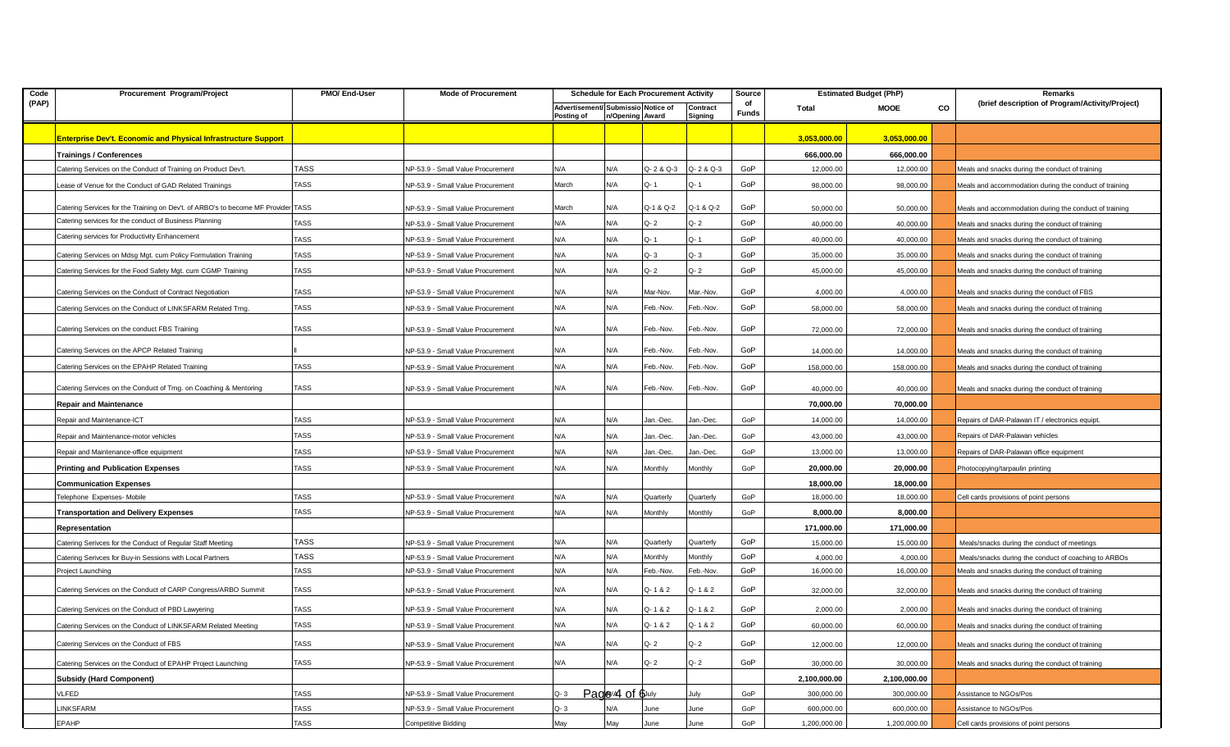| Code  | Procurement Program/Project                                                       | PMO/ End-User | <b>Mode of Procurement</b>        | <b>Schedule for Each Procurement Activity</b>    |                 | Source     |                     | <b>Estimated Budget (PhP)</b> |              | Remarks      |    |                                                        |
|-------|-----------------------------------------------------------------------------------|---------------|-----------------------------------|--------------------------------------------------|-----------------|------------|---------------------|-------------------------------|--------------|--------------|----|--------------------------------------------------------|
| (PAP) |                                                                                   |               |                                   | Advertisement/ Submissio Notice of<br>Posting of | n/Opening Award |            | Contract<br>Signing | of<br><b>Funds</b>            | Total        | <b>MOOE</b>  | CO | (brief description of Program/Activity/Project)        |
|       | <b>Enterprise Dev't. Economic and Physical Infrastructure Support</b>             |               |                                   |                                                  |                 |            |                     |                               | 3,053,000.00 | 3,053,000.00 |    |                                                        |
|       | <b>Trainings / Conferences</b>                                                    |               |                                   |                                                  |                 |            |                     |                               | 666,000.00   | 666,000.00   |    |                                                        |
|       | Catering Services on the Conduct of Training on Product Dev't.                    | TASS          | NP-53.9 - Small Value Procurement | N/A                                              | N/A             | Q- 2 & Q-3 | Q-2 & Q-3           | GoP                           | 12,000.00    | 12,000.00    |    | Meals and snacks during the conduct of training        |
|       | ease of Venue for the Conduct of GAD Related Trainings                            | TASS          | NP-53.9 - Small Value Procurement | March                                            | N/A             | Q-1        | Q-1                 | GoP                           | 98,000.00    | 98,000.00    |    | Meals and accommodation during the conduct of training |
|       | Catering Services for the Training on Dev't. of ARBO's to become MF Provider TASS |               | NP-53.9 - Small Value Procurement | March                                            | N/A             | Q-1 & Q-2  | Q-1 & Q-2           | GoP                           | 50,000.00    | 50,000.00    |    | Meals and accommodation during the conduct of training |
|       | Catering services for the conduct of Business Planning                            | TASS          | NP-53.9 - Small Value Procurement | N/A                                              | N/A             | Q- 2       | Q-2                 | GoP                           | 40,000.00    | 40,000.00    |    | Meals and snacks during the conduct of training        |
|       | Catering services for Productivity Enhancement                                    | TASS          | NP-53.9 - Small Value Procurement | N/A                                              | N/A             | Q-1        | Q-1                 | GoP                           | 40,000.00    | 40,000.00    |    | Meals and snacks during the conduct of training        |
|       | Catering Services on Mdsg Mgt. cum Policy Formulation Training                    | TASS          | NP-53.9 - Small Value Procurement | N/A                                              | N/A             | Q- 3       | $Q - 3$             | GoP                           | 35,000.00    | 35,000.00    |    | Meals and snacks during the conduct of training        |
|       | Catering Services for the Food Safety Mgt. cum CGMP Training                      | TASS          | NP-53.9 - Small Value Procurement | N/A                                              | N/A             | Q- 2       | Q- 2                | GoP                           | 45,000.00    | 45,000.00    |    | Meals and snacks during the conduct of training        |
|       | Catering Services on the Conduct of Contract Negotiation                          | TASS          | NP-53.9 - Small Value Procurement | N/A                                              | N/A             | Mar-Nov.   | Mar.-Nov.           | GoP                           | 4,000.00     | 4,000.00     |    | Meals and snacks during the conduct of FBS             |
|       | Catering Services on the Conduct of LINKSFARM Related Trng.                       | TASS          | NP-53.9 - Small Value Procurement | N/A                                              | N/A             | Feb.-Nov.  | Feb.-Nov.           | GoP                           | 58,000.00    | 58,000.00    |    | Meals and snacks during the conduct of training        |
|       |                                                                                   |               |                                   |                                                  |                 |            |                     |                               |              |              |    |                                                        |
|       | Catering Services on the conduct FBS Training                                     | TASS          | NP-53.9 - Small Value Procurement | N/A                                              | N/A             | Feb.-Nov.  | Feb.-Nov.           | GoP                           | 72,000.00    | 72,000.00    |    | Meals and snacks during the conduct of training        |
|       | Catering Services on the APCP Related Training                                    |               | NP-53.9 - Small Value Procurement | N/A                                              | N/A             | Feb.-Nov.  | Feb.-Nov.           | GoP                           | 14,000.00    | 14,000.00    |    | Meals and snacks during the conduct of training        |
|       | Catering Services on the EPAHP Related Training                                   | TASS          | NP-53.9 - Small Value Procurement | N/A                                              | N/A             | Feb.-Nov.  | Feb.-Nov.           | GoP                           | 158,000.00   | 158,000.00   |    | Meals and snacks during the conduct of training        |
|       | Catering Services on the Conduct of Trng. on Coaching & Mentoring                 | <b>TASS</b>   | NP-53.9 - Small Value Procurement | N/A                                              | N/A             | Feb.-Nov.  | Feb.-Nov.           | GoP                           | 40,000.00    | 40,000.00    |    | Meals and snacks during the conduct of training        |
|       | Repair and Maintenance                                                            |               |                                   |                                                  |                 |            |                     |                               | 70,000.00    | 70,000.00    |    |                                                        |
|       | Repair and Maintenance-ICT                                                        | TASS          | NP-53.9 - Small Value Procurement | N/A                                              | N/A             | Jan.-Dec.  | Jan.-Dec.           | GoP                           | 14,000.00    | 14,000.00    |    | Repairs of DAR-Palawan IT / electronics equipt.        |
|       | Repair and Maintenance-motor vehicles                                             | TASS          | NP-53.9 - Small Value Procurement | N/A                                              | N/A             | Jan.-Dec.  | Jan.-Dec.           | GoP                           | 43,000.00    | 43,000.00    |    | Repairs of DAR-Palawan vehicles                        |
|       | Repair and Maintenance-office equipment                                           | TASS          | NP-53.9 - Small Value Procurement | N/A                                              | N/A             | Jan.-Dec.  | Jan.-Dec.           | GoP                           | 13,000.00    | 13,000.00    |    | Repairs of DAR-Palawan office equipment                |
|       | Printing and Publication Expenses                                                 | TASS          | NP-53.9 - Small Value Procurement | N/A                                              | N/A             | Monthly    | Monthly             | GoP                           | 20,000.00    | 20,000.00    |    | Photocopying/tarpaulin printing                        |
|       | <b>Communication Expenses</b>                                                     |               |                                   |                                                  |                 |            |                     |                               | 18,000.00    | 18,000.00    |    |                                                        |
|       | Felephone Expenses-Mobile                                                         | TASS          | NP-53.9 - Small Value Procurement | N/A                                              | N/A             | Quarterly  | Quarterly           | GoP                           | 18,000.00    | 18,000.00    |    | Cell cards provisions of point persons                 |
|       | <b>Transportation and Delivery Expenses</b>                                       | TASS          | NP-53.9 - Small Value Procurement | N/A                                              | N/A             | Monthly    | Monthly             | GoP                           | 8,000.00     | 8,000.00     |    |                                                        |
|       | Representation                                                                    |               |                                   |                                                  |                 |            |                     |                               | 171,000.00   | 171,000.00   |    |                                                        |
|       | Catering Serivces for the Conduct of Regular Staff Meeting                        | <b>TASS</b>   | NP-53.9 - Small Value Procurement | N/A                                              | N/A             | Quarterly  | Quarterly           | GoP                           | 15,000.00    | 15,000.00    |    | Meals/snacks during the conduct of meetings            |
|       | Catering Serivces for Buy-in Sessions with Local Partners                         | TASS          | NP-53.9 - Small Value Procurement | N/A                                              | N/A             | Monthly    | Monthly             | GoP                           | 4,000.00     | 4,000.00     |    | Meals/snacks during the conduct of coaching to ARBOs   |
|       | Project Launching                                                                 | TASS          | NP-53.9 - Small Value Procurement | N/A                                              | N/A             | Feb.-Nov.  | Feb.-Nov.           | GoP                           | 16,000.00    | 16,000.00    |    | Meals and snacks during the conduct of training        |
|       | Catering Services on the Conduct of CARP Congress/ARBO Summit                     | TASS          | NP-53.9 - Small Value Procurement | N/A                                              | N/A             | Q-1&2      | Q-1&2               | GoP                           | 32,000.00    | 32,000.00    |    | Meals and snacks during the conduct of training        |
|       | Catering Services on the Conduct of PBD Lawyering                                 | TASS          | NP-53.9 - Small Value Procurement | N/A                                              | N/A             | Q-1&2      | Q-1&2               | GoP                           | 2,000.00     | 2,000.00     |    | Meals and snacks during the conduct of training        |
|       | Catering Services on the Conduct of LINKSFARM Related Meeting                     | TASS          | NP-53.9 - Small Value Procurement | N/A                                              | N/A             | Q-1&2      | Q-1&2               | GoP                           | 60,000.00    | 60,000.00    |    | Meals and snacks during the conduct of training        |
|       | Catering Services on the Conduct of FBS                                           | TASS          | NP-53.9 - Small Value Procurement | N/A                                              | N/A             | $Q - 2$    | $Q - 2$             | GoP                           | 12,000.00    | 12,000.00    |    | Meals and snacks during the conduct of training        |
|       | Catering Services on the Conduct of EPAHP Project Launching                       | TASS          | NP-53.9 - Small Value Procurement | N/A                                              | N/A             | Q-2        | $Q - 2$             | GoP                           | 30,000.00    | 30,000.00    |    | Meals and snacks during the conduct of training        |
|       | <b>Subsidy (Hard Component)</b>                                                   |               |                                   |                                                  |                 |            |                     |                               | 2,100,000.00 | 2,100,000.00 |    |                                                        |
|       | VLFED                                                                             | <b>TASS</b>   | NP-53.9 - Small Value Procurement | $Q - 3$                                          | Page/4 of 6July |            | July                | GoP                           | 300,000.00   | 300,000.00   |    | Assistance to NGOs/Pos                                 |
|       | <b>INKSFARM</b>                                                                   | <b>TASS</b>   | NP-53.9 - Small Value Procurement | $Q - 3$                                          | N/A             | June       | June                | GoP                           | 600,000.00   | 600,000.00   |    | Assistance to NGOs/Pos                                 |
|       | EPAHP                                                                             | <b>TASS</b>   | <b>Competitive Bidding</b>        | May                                              | May             | June       | June                | GoP                           | 1,200,000.00 | 1,200,000.00 |    | Cell cards provisions of point persons                 |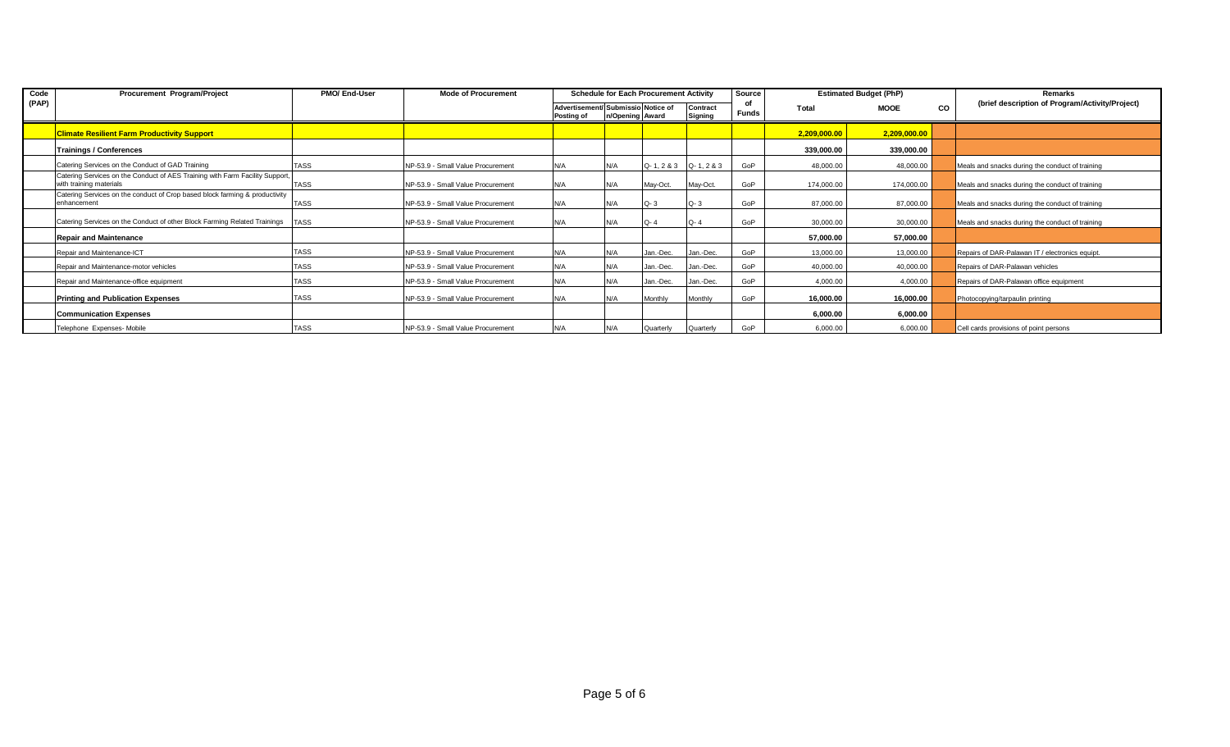| Code  | Procurement Program/Project                                                                             | PMO/ End-User | <b>Mode of Procurement</b>        | <b>Schedule for Each Procurement Activity</b> |                                                                                     |            | Source         |              | <b>Estimated Budget (PhP)</b> |              | Remarks |                                                 |
|-------|---------------------------------------------------------------------------------------------------------|---------------|-----------------------------------|-----------------------------------------------|-------------------------------------------------------------------------------------|------------|----------------|--------------|-------------------------------|--------------|---------|-------------------------------------------------|
| (PAP) |                                                                                                         |               |                                   | Posting of                                    | Advertisement/ Submissio Notice of<br>Contract<br>n/Opening Award<br><b>Signing</b> |            |                | <b>Funds</b> | Total                         | <b>MOOE</b>  | CO      | (brief description of Program/Activity/Project) |
|       | <b>Climate Resilient Farm Productivity Support</b>                                                      |               |                                   |                                               |                                                                                     |            |                |              | 2,209,000.00                  | 2,209,000.00 |         |                                                 |
|       | <b>Trainings / Conferences</b>                                                                          |               |                                   |                                               |                                                                                     |            |                |              | 339,000.00                    | 339,000.00   |         |                                                 |
|       | Catering Services on the Conduct of GAD Training                                                        | <b>TASS</b>   | NP-53.9 - Small Value Procurement | N/A                                           | N/A                                                                                 | Q-1, 2 & 3 | $Q - 1, 2 & 3$ | GoP          | 48,000.00                     | 48,000.00    |         | Meals and snacks during the conduct of training |
|       | Catering Services on the Conduct of AES Training with Farm Facility Support,<br>with training materials | <b>TASS</b>   | NP-53.9 - Small Value Procurement | N/A                                           | N/A                                                                                 | May-Oct.   | May-Oct.       | GoP          | 174,000.00                    | 174,000.00   |         | Meals and snacks during the conduct of training |
|       | Catering Services on the conduct of Crop based block farming & productivity<br>enhancement              | <b>TASS</b>   | NP-53.9 - Small Value Procurement | N/A                                           | N/A                                                                                 | $Q - 3$    | $Q - 3$        | GoP          | 87,000.00                     | 87,000.00    |         | Meals and snacks during the conduct of training |
|       | Catering Services on the Conduct of other Block Farming Related Trainings                               | <b>TASS</b>   | NP-53.9 - Small Value Procurement | N/A                                           | N/A                                                                                 | $Q - 4$    | $Q - 4$        | GoP          | 30,000.00                     | 30,000.00    |         | Meals and snacks during the conduct of training |
|       | <b>Repair and Maintenance</b>                                                                           |               |                                   |                                               |                                                                                     |            |                |              | 57,000.00                     | 57,000.00    |         |                                                 |
|       | Repair and Maintenance-ICT                                                                              | <b>TASS</b>   | NP-53.9 - Small Value Procurement | N/A                                           | N/A                                                                                 | Jan.-Dec.  | Jan.-Dec.      | GoP          | 13,000.00                     | 13,000.00    |         | Repairs of DAR-Palawan IT / electronics equipt. |
|       | Repair and Maintenance-motor vehicles                                                                   | <b>TASS</b>   | NP-53.9 - Small Value Procurement | N/A                                           | N/A                                                                                 | Jan.-Dec.  | Jan.-Dec.      | GoP          | 40,000.00                     | 40,000.00    |         | Repairs of DAR-Palawan vehicles                 |
|       | Repair and Maintenance-office equipment                                                                 | <b>TASS</b>   | NP-53.9 - Small Value Procurement | N/A                                           | N/A                                                                                 | Jan.-Dec.  | Jan.-Dec.      | GoP          | 4,000.00                      | 4,000.00     |         | Repairs of DAR-Palawan office equipment         |
|       | <b>Printing and Publication Expenses</b>                                                                | <b>TASS</b>   | NP-53.9 - Small Value Procurement | N/A                                           | N/A                                                                                 | Monthly    | Monthly        | GoP          | 16,000.00                     | 16,000.00    |         | Photocopying/tarpaulin printing                 |
|       | <b>Communication Expenses</b>                                                                           |               |                                   |                                               |                                                                                     |            |                |              | 6,000.00                      | 6,000.00     |         |                                                 |
|       | Telephone Expenses- Mobile                                                                              | <b>TASS</b>   | NP-53.9 - Small Value Procurement | N/A                                           | N/A                                                                                 | Quarterly  | Quarterly      | GoP          | 6,000.00                      | 6,000.00     |         | Cell cards provisions of point persons          |